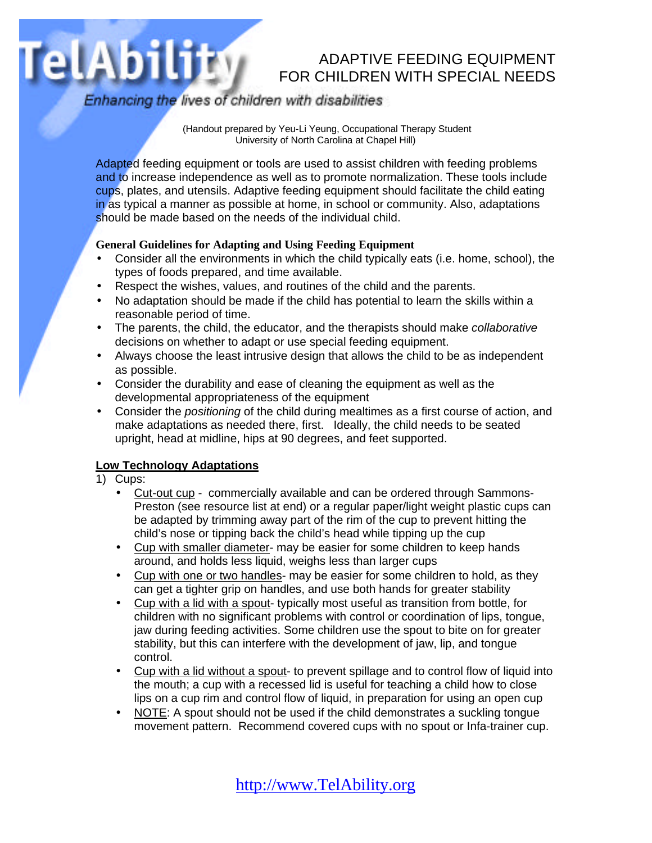# ADAPTIVE FEEDING EQUIPMENT FOR CHILDREN WITH SPECIAL NEEDS

Enhancing the lives of children with disabilities

 (Handout prepared by Yeu-Li Yeung, Occupational Therapy Student University of North Carolina at Chapel Hill)

Adapted feeding equipment or tools are used to assist children with feeding problems and to increase independence as well as to promote normalization. These tools include cups, plates, and utensils. Adaptive feeding equipment should facilitate the child eating in as typical a manner as possible at home, in school or community. Also, adaptations should be made based on the needs of the individual child.

#### **General Guidelines for Adapting and Using Feeding Equipment**

- Consider all the environments in which the child typically eats (i.e. home, school), the types of foods prepared, and time available.
- Respect the wishes, values, and routines of the child and the parents.
- No adaptation should be made if the child has potential to learn the skills within a reasonable period of time.
- The parents, the child, the educator, and the therapists should make *collaborative* decisions on whether to adapt or use special feeding equipment.
- Always choose the least intrusive design that allows the child to be as independent as possible.
- Consider the durability and ease of cleaning the equipment as well as the developmental appropriateness of the equipment
- Consider the *positioning* of the child during mealtimes as a first course of action, and make adaptations as needed there, first. Ideally, the child needs to be seated upright, head at midline, hips at 90 degrees, and feet supported.

#### **Low Technology Adaptations**

1) Cups:

TelAbility

- Cut-out cup commercially available and can be ordered through Sammons-Preston (see resource list at end) or a regular paper/light weight plastic cups can be adapted by trimming away part of the rim of the cup to prevent hitting the child's nose or tipping back the child's head while tipping up the cup
- Cup with smaller diameter- may be easier for some children to keep hands around, and holds less liquid, weighs less than larger cups
- Cup with one or two handles- may be easier for some children to hold, as they can get a tighter grip on handles, and use both hands for greater stability
- Cup with a lid with a spout- typically most useful as transition from bottle, for children with no significant problems with control or coordination of lips, tongue, jaw during feeding activities. Some children use the spout to bite on for greater stability, but this can interfere with the development of jaw, lip, and tongue control.
- Cup with a lid without a spout- to prevent spillage and to control flow of liquid into the mouth; a cup with a recessed lid is useful for teaching a child how to close lips on a cup rim and control flow of liquid, in preparation for using an open cup
- NOTE: A spout should not be used if the child demonstrates a suckling tongue movement pattern. Recommend covered cups with no spout or Infa-trainer cup.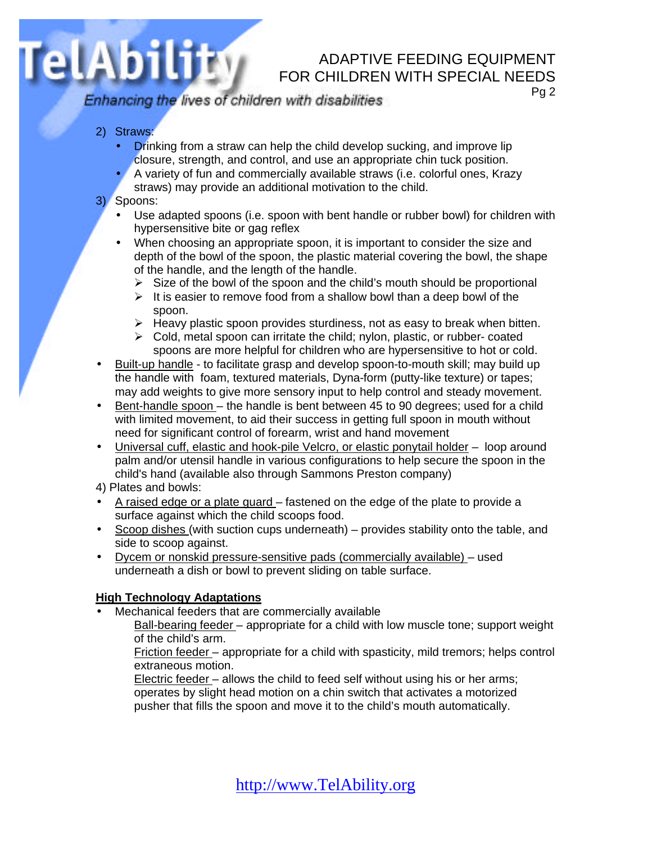## ADAPTIVE FEEDING EQUIPMENT FOR CHILDREN WITH SPECIAL NEEDS

Enhancing the lives of children with disabilities

Pg 2

2) Straws:

TelAbility

- **Drinking from a straw can help the child develop sucking, and improve lip** closure, strength, and control, and use an appropriate chin tuck position.
- A variety of fun and commercially available straws (i.e. colorful ones, Krazy straws) may provide an additional motivation to the child.
- 3) Spoons:
	- Use adapted spoons (i.e. spoon with bent handle or rubber bowl) for children with hypersensitive bite or gag reflex
	- When choosing an appropriate spoon, it is important to consider the size and depth of the bowl of the spoon, the plastic material covering the bowl, the shape of the handle, and the length of the handle.
		- $\triangleright$  Size of the bowl of the spoon and the child's mouth should be proportional
		- $\triangleright$  It is easier to remove food from a shallow bowl than a deep bowl of the spoon.
		- $\triangleright$  Heavy plastic spoon provides sturdiness, not as easy to break when bitten.
		- $\triangleright$  Cold, metal spoon can irritate the child; nylon, plastic, or rubber- coated spoons are more helpful for children who are hypersensitive to hot or cold.
- Built-up handle to facilitate grasp and develop spoon-to-mouth skill; may build up the handle with foam, textured materials, Dyna-form (putty-like texture) or tapes; may add weights to give more sensory input to help control and steady movement.
- Bent-handle spoon the handle is bent between 45 to 90 degrees; used for a child with limited movement, to aid their success in getting full spoon in mouth without need for significant control of forearm, wrist and hand movement
- Universal cuff, elastic and hook-pile Velcro, or elastic ponytail holder loop around palm and/or utensil handle in various configurations to help secure the spoon in the child's hand (available also through Sammons Preston company)
- 4) Plates and bowls:
- A raised edge or a plate guard fastened on the edge of the plate to provide a surface against which the child scoops food.
- Scoop dishes (with suction cups underneath) provides stability onto the table, and side to scoop against.
- Dycem or nonskid pressure-sensitive pads (commercially available) used underneath a dish or bowl to prevent sliding on table surface.

#### **High Technology Adaptations**

• Mechanical feeders that are commercially available

Ball-bearing feeder – appropriate for a child with low muscle tone; support weight of the child's arm.

Friction feeder – appropriate for a child with spasticity, mild tremors; helps control extraneous motion.

Electric feeder – allows the child to feed self without using his or her arms; operates by slight head motion on a chin switch that activates a motorized pusher that fills the spoon and move it to the child's mouth automatically.